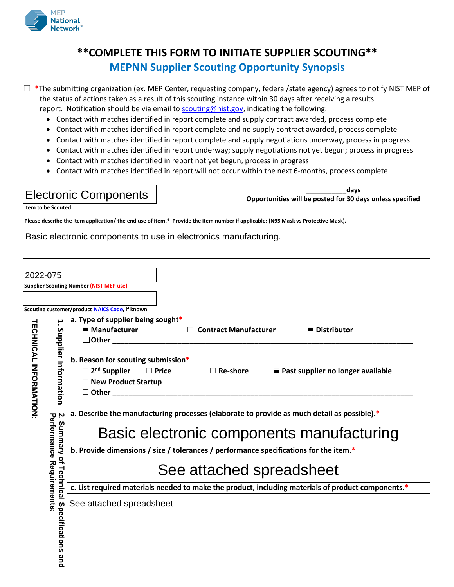

## **\*\*COMPLETE THIS FORM TO INITIATE SUPPLIER SCOUTING\*\* MEPNN Supplier Scouting Opportunity Synopsis**

☐ **\***The submitting organization (ex. MEP Center, requesting company, federal/state agency) agrees to notify NIST MEP of the status of actions taken as a result of this scouting instance within 30 days after receiving a results report. Notification should be via email to [scouting@nist.gov,](mailto:scouting@nist.gov) indicating the following:

- Contact with matches identified in report complete and supply contract awarded, process complete
- Contact with matches identified in report complete and no supply contract awarded, process complete
- Contact with matches identified in report complete and supply negotiations underway, process in progress
- Contact with matches identified in report underway; supply negotiations not yet begun; process in progress
- Contact with matches identified in report not yet begun, process in progress
- Contact with matches identified in report will not occur within the next 6-months, process complete

## Electronic Components

**\_\_\_\_\_\_\_\_\_\_\_days Opportunities will be posted for 30 days unless specified**

**Item to be Scouted**

**Please describe the item application/ the end use of item.\* Provide the item number if applicable: (N95 Mask vs Protective Mask).**

Basic electronic components to use in electronics manufacturing.

| 2022-075                                       |                                                                                                                                       |                                                                                                                                                                                                                                                                                                                                                                                                                                                                                                                                                                                                                                                                                                                                                     |  |  |
|------------------------------------------------|---------------------------------------------------------------------------------------------------------------------------------------|-----------------------------------------------------------------------------------------------------------------------------------------------------------------------------------------------------------------------------------------------------------------------------------------------------------------------------------------------------------------------------------------------------------------------------------------------------------------------------------------------------------------------------------------------------------------------------------------------------------------------------------------------------------------------------------------------------------------------------------------------------|--|--|
| <b>Supplier Scouting Number (NIST MEP use)</b> |                                                                                                                                       |                                                                                                                                                                                                                                                                                                                                                                                                                                                                                                                                                                                                                                                                                                                                                     |  |  |
|                                                |                                                                                                                                       |                                                                                                                                                                                                                                                                                                                                                                                                                                                                                                                                                                                                                                                                                                                                                     |  |  |
| Scouting customer/product NAICS Code, if known |                                                                                                                                       |                                                                                                                                                                                                                                                                                                                                                                                                                                                                                                                                                                                                                                                                                                                                                     |  |  |
| ᅴ<br><b>ECHNICAL INFORMATION</b>               | H.<br>Supplier Informatio<br>È<br>Ņ<br>Performance<br>Summary<br>$\overline{a}$<br>Requirements<br><b>Technical</b><br>Specifications | a. Type of supplier being sought*<br>■ Manufacturer<br><b>Contract Manufacturer</b><br>■ Distributor<br>$\Box$ Other $\Box$<br>b. Reason for scouting submission*<br>$\Box$ 2 <sup>nd</sup> Supplier<br>$\Box$ Re-shore<br>$\blacksquare$ Past supplier no longer available<br>$\Box$ Price<br>$\Box$ New Product Startup<br>$\Box$ Other $\Box$<br>a. Describe the manufacturing processes (elaborate to provide as much detail as possible).*<br>Basic electronic components manufacturing<br>b. Provide dimensions / size / tolerances / performance specifications for the item.*<br>See attached spreadsheet<br>c. List required materials needed to make the product, including materials of product components.*<br>See attached spreadsheet |  |  |
|                                                | and                                                                                                                                   |                                                                                                                                                                                                                                                                                                                                                                                                                                                                                                                                                                                                                                                                                                                                                     |  |  |